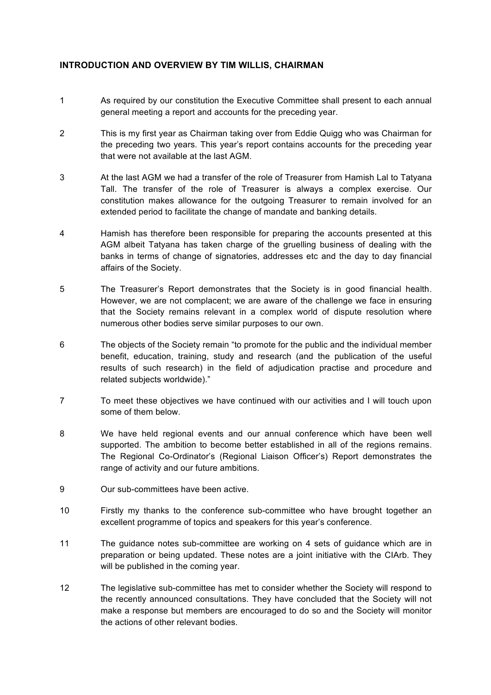## **INTRODUCTION AND OVERVIEW BY TIM WILLIS, CHAIRMAN**

- 1 As required by our constitution the Executive Committee shall present to each annual general meeting a report and accounts for the preceding year.
- 2 This is my first year as Chairman taking over from Eddie Quigg who was Chairman for the preceding two years. This year's report contains accounts for the preceding year that were not available at the last AGM.
- 3 At the last AGM we had a transfer of the role of Treasurer from Hamish Lal to Tatyana Tall. The transfer of the role of Treasurer is always a complex exercise. Our constitution makes allowance for the outgoing Treasurer to remain involved for an extended period to facilitate the change of mandate and banking details.
- 4 Hamish has therefore been responsible for preparing the accounts presented at this AGM albeit Tatyana has taken charge of the gruelling business of dealing with the banks in terms of change of signatories, addresses etc and the day to day financial affairs of the Society.
- 5 The Treasurer's Report demonstrates that the Society is in good financial health. However, we are not complacent; we are aware of the challenge we face in ensuring that the Society remains relevant in a complex world of dispute resolution where numerous other bodies serve similar purposes to our own.
- 6 The objects of the Society remain "to promote for the public and the individual member benefit, education, training, study and research (and the publication of the useful results of such research) in the field of adjudication practise and procedure and related subjects worldwide)."
- 7 To meet these objectives we have continued with our activities and I will touch upon some of them below.
- 8 We have held regional events and our annual conference which have been well supported. The ambition to become better established in all of the regions remains. The Regional Co-Ordinator's (Regional Liaison Officer's) Report demonstrates the range of activity and our future ambitions.
- 9 Our sub-committees have been active.
- 10 Firstly my thanks to the conference sub-committee who have brought together an excellent programme of topics and speakers for this year's conference.
- 11 The guidance notes sub-committee are working on 4 sets of guidance which are in preparation or being updated. These notes are a joint initiative with the CIArb. They will be published in the coming year.
- 12 The legislative sub-committee has met to consider whether the Society will respond to the recently announced consultations. They have concluded that the Society will not make a response but members are encouraged to do so and the Society will monitor the actions of other relevant bodies.